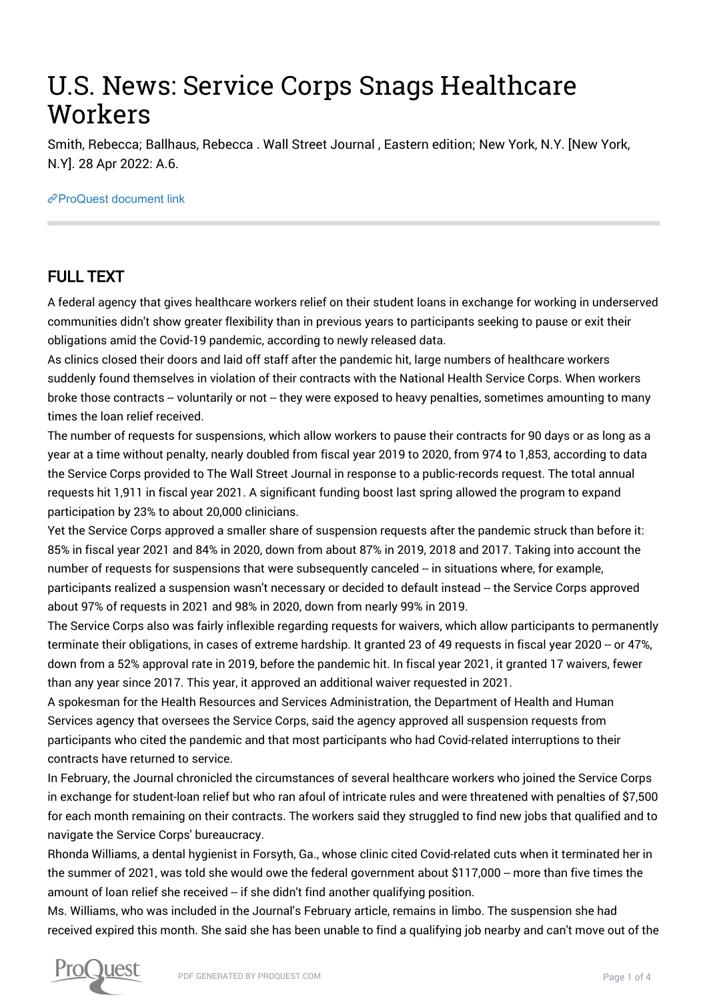# U.S. News: Service Corps Snags Healthcare Workers

Smith, Rebecca; Ballhaus, Rebecca . Wall Street Journal , Eastern edition; New York, N.Y. [New York, N.Y]. 28 Apr 2022: A.6.

#### [ProQuest document link](https://www.proquest.com/newspapers/u-s-news-service-corps-snags-healthcare-workers/docview/2656004708/se-2?accountid=44910)

## FULL TEXT

A federal agency that gives healthcare workers relief on their student loans in exchange for working in underserved communities didn't show greater flexibility than in previous years to participants seeking to pause or exit their obligations amid the Covid-19 pandemic, according to newly released data.

As clinics closed their doors and laid off staff after the pandemic hit, large numbers of healthcare workers suddenly found themselves in violation of their contracts with the National Health Service Corps. When workers broke those contracts -- voluntarily or not -- they were exposed to heavy penalties, sometimes amounting to many times the loan relief received.

The number of requests for suspensions, which allow workers to pause their contracts for 90 days or as long as a year at a time without penalty, nearly doubled from fiscal year 2019 to 2020, from 974 to 1,853, according to data the Service Corps provided to The Wall Street Journal in response to a public-records request. The total annual requests hit 1,911 in fiscal year 2021. A significant funding boost last spring allowed the program to expand participation by 23% to about 20,000 clinicians.

Yet the Service Corps approved a smaller share of suspension requests after the pandemic struck than before it: 85% in fiscal year 2021 and 84% in 2020, down from about 87% in 2019, 2018 and 2017. Taking into account the number of requests for suspensions that were subsequently canceled -- in situations where, for example, participants realized a suspension wasn't necessary or decided to default instead -- the Service Corps approved about 97% of requests in 2021 and 98% in 2020, down from nearly 99% in 2019.

The Service Corps also was fairly inflexible regarding requests for waivers, which allow participants to permanently terminate their obligations, in cases of extreme hardship. It granted 23 of 49 requests in fiscal year 2020 -- or 47%, down from a 52% approval rate in 2019, before the pandemic hit. In fiscal year 2021, it granted 17 waivers, fewer than any year since 2017. This year, it approved an additional waiver requested in 2021.

A spokesman for the Health Resources and Services Administration, the Department of Health and Human Services agency that oversees the Service Corps, said the agency approved all suspension requests from participants who cited the pandemic and that most participants who had Covid-related interruptions to their contracts have returned to service.

In February, the Journal chronicled the circumstances of several healthcare workers who joined the Service Corps in exchange for student-loan relief but who ran afoul of intricate rules and were threatened with penalties of \$7,500 for each month remaining on their contracts. The workers said they struggled to find new jobs that qualified and to navigate the Service Corps' bureaucracy.

Rhonda Williams, a dental hygienist in Forsyth, Ga., whose clinic cited Covid-related cuts when it terminated her in the summer of 2021, was told she would owe the federal government about \$117,000 -- more than five times the amount of loan relief she received -- if she didn't find another qualifying position.

Ms. Williams, who was included in the Journal's February article, remains in limbo. The suspension she had received expired this month. She said she has been unable to find a qualifying job nearby and can't move out of the

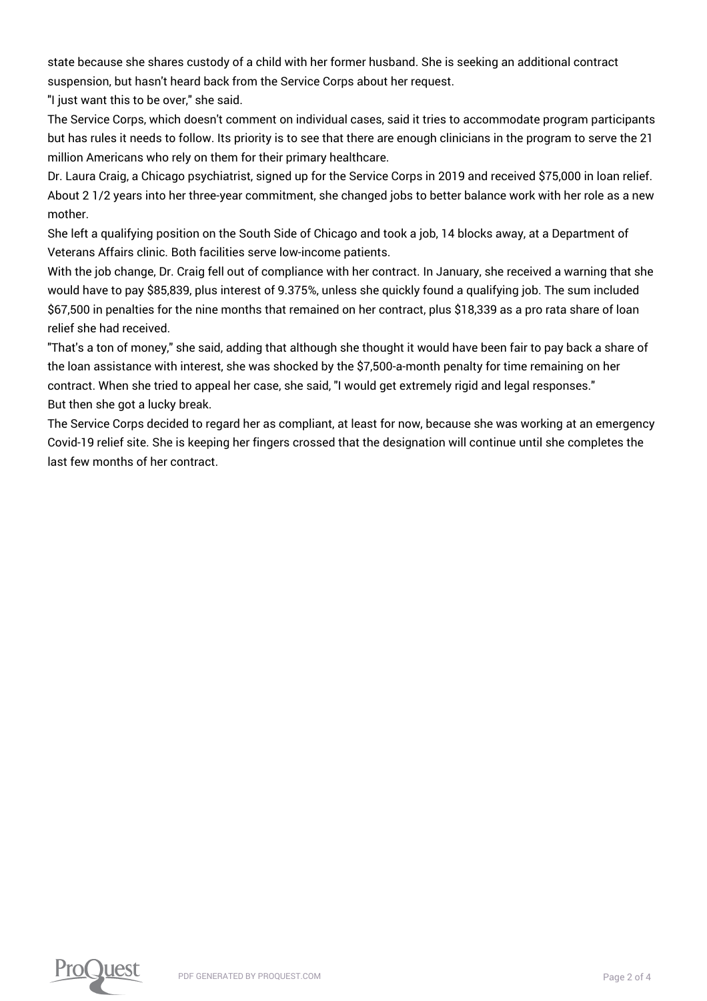state because she shares custody of a child with her former husband. She is seeking an additional contract suspension, but hasn't heard back from the Service Corps about her request.

"I just want this to be over," she said.

The Service Corps, which doesn't comment on individual cases, said it tries to accommodate program participants but has rules it needs to follow. Its priority is to see that there are enough clinicians in the program to serve the 21 million Americans who rely on them for their primary healthcare.

Dr. Laura Craig, a Chicago psychiatrist, signed up for the Service Corps in 2019 and received \$75,000 in loan relief. About 2 1/2 years into her three-year commitment, she changed jobs to better balance work with her role as a new mother.

She left a qualifying position on the South Side of Chicago and took a job, 14 blocks away, at a Department of Veterans Affairs clinic. Both facilities serve low-income patients.

With the job change, Dr. Craig fell out of compliance with her contract. In January, she received a warning that she would have to pay \$85,839, plus interest of 9.375%, unless she quickly found a qualifying job. The sum included \$67,500 in penalties for the nine months that remained on her contract, plus \$18,339 as a pro rata share of loan relief she had received.

"That's a ton of money," she said, adding that although she thought it would have been fair to pay back a share of the loan assistance with interest, she was shocked by the \$7,500-a-month penalty for time remaining on her contract. When she tried to appeal her case, she said, "I would get extremely rigid and legal responses." But then she got a lucky break.

The Service Corps decided to regard her as compliant, at least for now, because she was working at an emergency Covid-19 relief site. She is keeping her fingers crossed that the designation will continue until she completes the last few months of her contract.

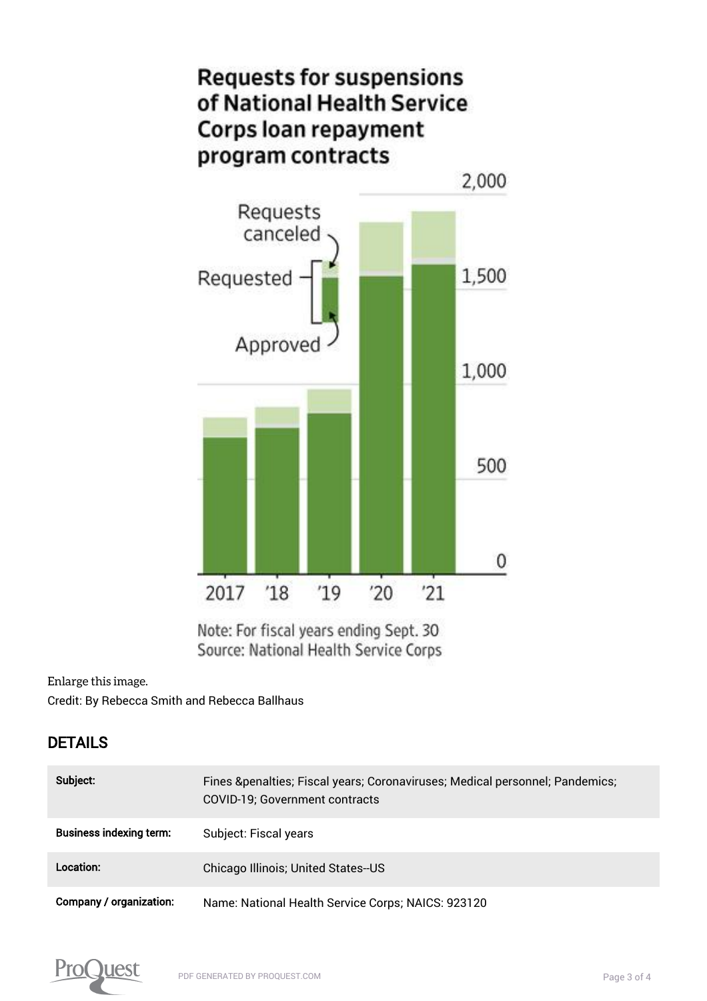

Note: For fiscal years ending Sept. 30 Source: National Health Service Corps

[Enlarge this image.](https://www.proquest.comhttps://www.proquest.com/textgraphic/2656004708/fulltextwithgraphics/302DA46A4E4148D8PQ/1/1?accountid=44910)

Credit: By Rebecca Smith and Rebecca Ballhaus

#### DETAILS

| Subject:                       | Fines & penalties; Fiscal years; Coronaviruses; Medical personnel; Pandemics;<br>COVID-19; Government contracts |
|--------------------------------|-----------------------------------------------------------------------------------------------------------------|
| <b>Business indexing term:</b> | Subject: Fiscal years                                                                                           |
| Location:                      | Chicago Illinois; United States-US                                                                              |
| <b>Company / organization:</b> | Name: National Health Service Corps; NAICS: 923120                                                              |